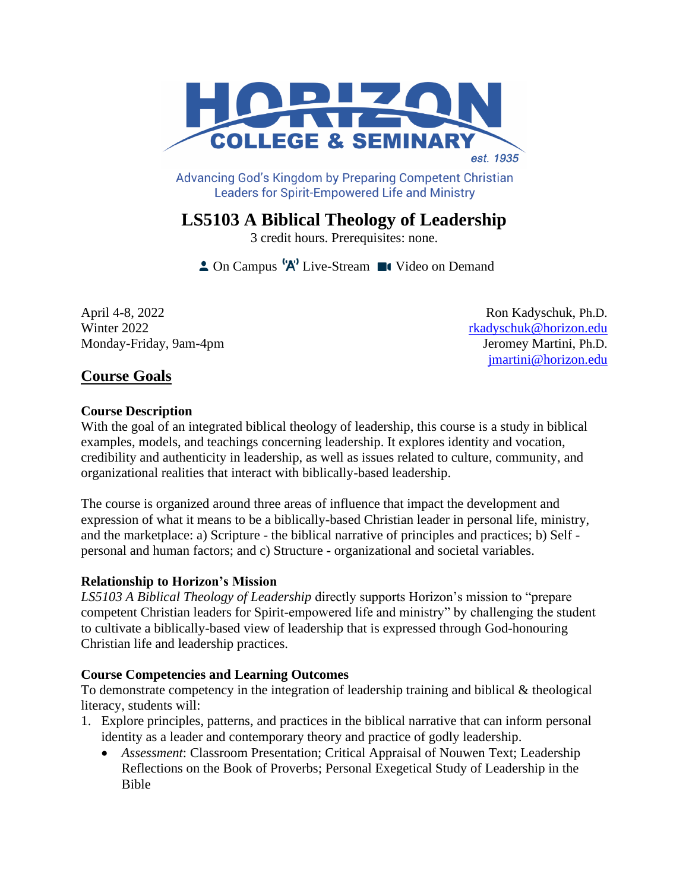

Advancing God's Kingdom by Preparing Competent Christian **Leaders for Spirit-Empowered Life and Ministry** 

# **LS5103 A Biblical Theology of Leadership**

3 credit hours. Prerequisites: none.

 $\triangle$  On Campus  $^{\{A\}}$  Live-Stream  $\blacksquare$  Video on Demand

April 4-8, 2022 Ron Kadyschuk, Ph.D. Winter 2022 [rkadyschuk@horizon.edu](mailto:rkadyschuk@horizon.edu) Monday-Friday, 9am-4pm Jeromey Martini, Ph.D.

[jmartini@horizon.edu](mailto:jmartini@horizon.edu)

## **Course Goals**

### **Course Description**

With the goal of an integrated biblical theology of leadership, this course is a study in biblical examples, models, and teachings concerning leadership. It explores identity and vocation, credibility and authenticity in leadership, as well as issues related to culture, community, and organizational realities that interact with biblically-based leadership.

The course is organized around three areas of influence that impact the development and expression of what it means to be a biblically-based Christian leader in personal life, ministry, and the marketplace: a) Scripture - the biblical narrative of principles and practices; b) Self personal and human factors; and c) Structure - organizational and societal variables.

### **Relationship to Horizon's Mission**

*LS5103 A Biblical Theology of Leadership* directly supports Horizon's mission to "prepare competent Christian leaders for Spirit-empowered life and ministry" by challenging the student to cultivate a biblically-based view of leadership that is expressed through God-honouring Christian life and leadership practices.

### **Course Competencies and Learning Outcomes**

To demonstrate competency in the integration of leadership training and biblical & theological literacy, students will:

- 1. Explore principles, patterns, and practices in the biblical narrative that can inform personal identity as a leader and contemporary theory and practice of godly leadership.
	- *Assessment*: Classroom Presentation; Critical Appraisal of Nouwen Text; Leadership Reflections on the Book of Proverbs; Personal Exegetical Study of Leadership in the Bible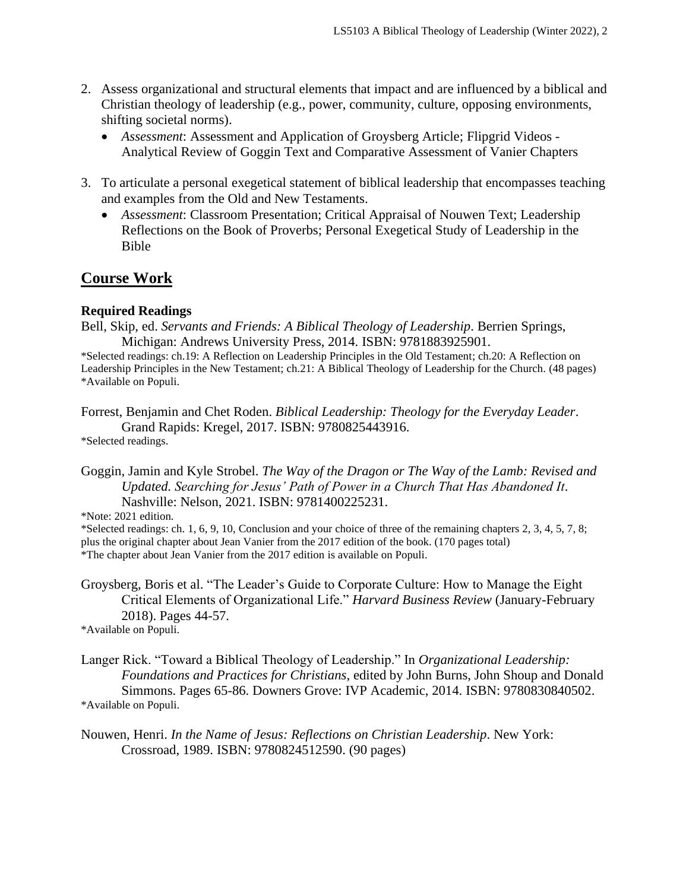- 2. Assess organizational and structural elements that impact and are influenced by a biblical and Christian theology of leadership (e.g., power, community, culture, opposing environments, shifting societal norms).
	- *Assessment*: Assessment and Application of Groysberg Article; Flipgrid Videos Analytical Review of Goggin Text and Comparative Assessment of Vanier Chapters
- 3. To articulate a personal exegetical statement of biblical leadership that encompasses teaching and examples from the Old and New Testaments.
	- *Assessment*: Classroom Presentation; Critical Appraisal of Nouwen Text; Leadership Reflections on the Book of Proverbs; Personal Exegetical Study of Leadership in the Bible

### **Course Work**

#### **Required Readings**

Bell, Skip, ed. *Servants and Friends: A Biblical Theology of Leadership*. Berrien Springs, Michigan: Andrews University Press, 2014. ISBN: 9781883925901.

\*Selected readings: ch.19: A Reflection on Leadership Principles in the Old Testament; ch.20: A Reflection on Leadership Principles in the New Testament; ch.21: A Biblical Theology of Leadership for the Church. (48 pages) \*Available on Populi.

Forrest, Benjamin and Chet Roden. *Biblical Leadership: Theology for the Everyday Leader*. Grand Rapids: Kregel, 2017. ISBN: 9780825443916.

\*Selected readings.

\*Note: 2021 edition.

\*Selected readings: ch. 1, 6, 9, 10, Conclusion and your choice of three of the remaining chapters 2, 3, 4, 5, 7, 8; plus the original chapter about Jean Vanier from the 2017 edition of the book. (170 pages total) \*The chapter about Jean Vanier from the 2017 edition is available on Populi.

Groysberg, Boris et al. "The Leader's Guide to Corporate Culture: How to Manage the Eight Critical Elements of Organizational Life." *Harvard Business Review* (January-February 2018). Pages 44-57.

\*Available on Populi.

Langer Rick. "Toward a Biblical Theology of Leadership." In *Organizational Leadership: Foundations and Practices for Christians*, edited by John Burns, John Shoup and Donald Simmons. Pages 65-86. Downers Grove: IVP Academic, 2014. ISBN: 9780830840502. \*Available on Populi.

Nouwen, Henri. *In the Name of Jesus: Reflections on Christian Leadership*. New York: Crossroad, 1989. ISBN: 9780824512590. (90 pages)

Goggin, Jamin and Kyle Strobel. *The Way of the Dragon or The Way of the Lamb: Revised and Updated. Searching for Jesus' Path of Power in a Church That Has Abandoned It*. Nashville: Nelson, 2021. ISBN: 9781400225231.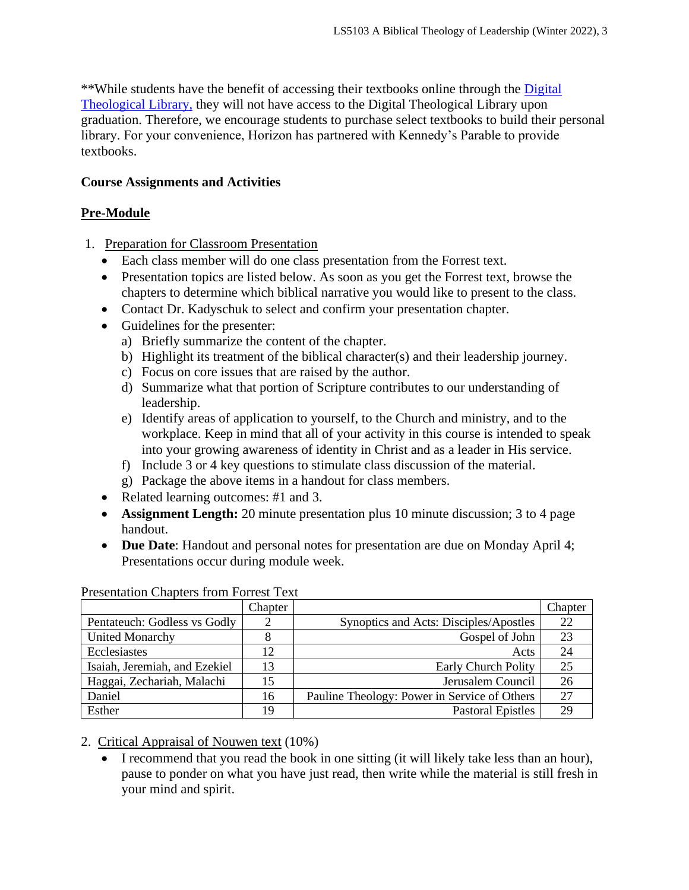\*\*While students have the benefit of accessing their textbooks online through the [Digital](https://saskatoon.mlasolutions.com/m5/catalog/(S(3h21syce2tpjqj0wea2rbnzr))/Default.aspx?installation=HRZN)  [Theological Library,](https://saskatoon.mlasolutions.com/m5/catalog/(S(3h21syce2tpjqj0wea2rbnzr))/Default.aspx?installation=HRZN) they will not have access to the Digital Theological Library upon graduation. Therefore, we encourage students to purchase select textbooks to build their personal library. For your convenience, Horizon has partnered with Kennedy's Parable to provide textbooks.

### **Course Assignments and Activities**

### **Pre-Module**

- 1. Preparation for Classroom Presentation
	- Each class member will do one class presentation from the Forrest text.
	- Presentation topics are listed below. As soon as you get the Forrest text, browse the chapters to determine which biblical narrative you would like to present to the class.
	- Contact Dr. Kadyschuk to select and confirm your presentation chapter.
	- Guidelines for the presenter:
		- a) Briefly summarize the content of the chapter.
		- b) Highlight its treatment of the biblical character(s) and their leadership journey.
		- c) Focus on core issues that are raised by the author.
		- d) Summarize what that portion of Scripture contributes to our understanding of leadership.
		- e) Identify areas of application to yourself, to the Church and ministry, and to the workplace. Keep in mind that all of your activity in this course is intended to speak into your growing awareness of identity in Christ and as a leader in His service.
		- f) Include 3 or 4 key questions to stimulate class discussion of the material.
		- g) Package the above items in a handout for class members.
	- Related learning outcomes: #1 and 3.
	- **Assignment Length:** 20 minute presentation plus 10 minute discussion; 3 to 4 page handout.
	- **Due Date**: Handout and personal notes for presentation are due on Monday April 4; Presentations occur during module week.

|                               | Chapter |                                              | Chapter |
|-------------------------------|---------|----------------------------------------------|---------|
| Pentateuch: Godless vs Godly  |         | Synoptics and Acts: Disciples/Apostles       | 22      |
| <b>United Monarchy</b>        |         | Gospel of John                               | 23      |
| Ecclesiastes                  | 12      | Acts                                         | 24      |
| Isaiah, Jeremiah, and Ezekiel | 13      | <b>Early Church Polity</b>                   | 25      |
| Haggai, Zechariah, Malachi    | 15      | Jerusalem Council                            | 26      |
| Daniel                        | 16      | Pauline Theology: Power in Service of Others | 27      |
| Esther                        | 19      | <b>Pastoral Epistles</b>                     | 29      |

Presentation Chapters from Forrest Text

2. Critical Appraisal of Nouwen text (10%)

• I recommend that you read the book in one sitting (it will likely take less than an hour), pause to ponder on what you have just read, then write while the material is still fresh in your mind and spirit.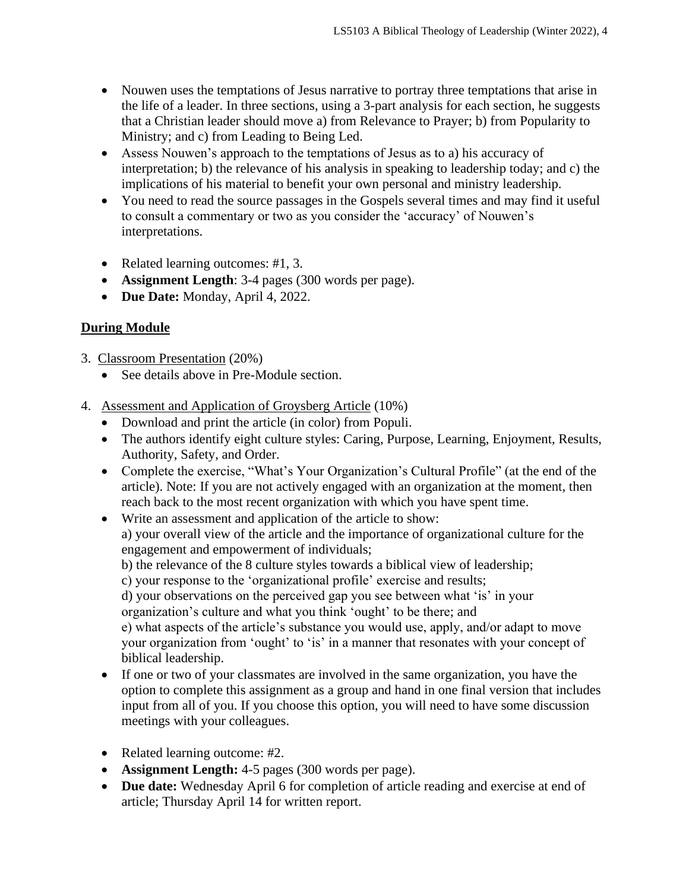- Nouwen uses the temptations of Jesus narrative to portray three temptations that arise in the life of a leader. In three sections, using a 3-part analysis for each section, he suggests that a Christian leader should move a) from Relevance to Prayer; b) from Popularity to Ministry; and c) from Leading to Being Led.
- Assess Nouwen's approach to the temptations of Jesus as to a) his accuracy of interpretation; b) the relevance of his analysis in speaking to leadership today; and c) the implications of his material to benefit your own personal and ministry leadership.
- You need to read the source passages in the Gospels several times and may find it useful to consult a commentary or two as you consider the 'accuracy' of Nouwen's interpretations.
- Related learning outcomes: #1, 3.
- **Assignment Length**: 3-4 pages (300 words per page).
- **Due Date:** Monday, April 4, 2022.

### **During Module**

- 3. Classroom Presentation (20%)
	- See details above in Pre-Module section.
- 4. Assessment and Application of Groysberg Article (10%)
	- Download and print the article (in color) from Populi.
	- The authors identify eight culture styles: Caring, Purpose, Learning, Enjoyment, Results, Authority, Safety, and Order.
	- Complete the exercise, "What's Your Organization's Cultural Profile" (at the end of the article). Note: If you are not actively engaged with an organization at the moment, then reach back to the most recent organization with which you have spent time.
	- Write an assessment and application of the article to show:

a) your overall view of the article and the importance of organizational culture for the engagement and empowerment of individuals;

b) the relevance of the 8 culture styles towards a biblical view of leadership;

c) your response to the 'organizational profile' exercise and results;

d) your observations on the perceived gap you see between what 'is' in your organization's culture and what you think 'ought' to be there; and

e) what aspects of the article's substance you would use, apply, and/or adapt to move your organization from 'ought' to 'is' in a manner that resonates with your concept of biblical leadership.

- If one or two of your classmates are involved in the same organization, you have the option to complete this assignment as a group and hand in one final version that includes input from all of you. If you choose this option, you will need to have some discussion meetings with your colleagues.
- Related learning outcome: #2.
- **Assignment Length:** 4-5 pages (300 words per page).
- **Due date:** Wednesday April 6 for completion of article reading and exercise at end of article; Thursday April 14 for written report.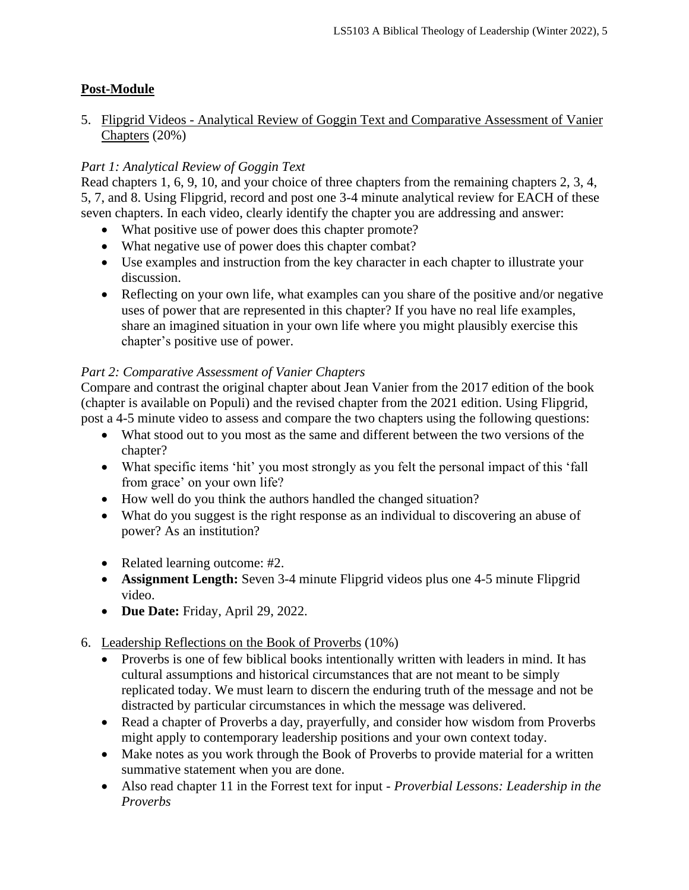### **Post-Module**

### 5. Flipgrid Videos - Analytical Review of Goggin Text and Comparative Assessment of Vanier Chapters (20%)

### *Part 1: Analytical Review of Goggin Text*

Read chapters 1, 6, 9, 10, and your choice of three chapters from the remaining chapters 2, 3, 4, 5, 7, and 8. Using Flipgrid, record and post one 3-4 minute analytical review for EACH of these seven chapters. In each video, clearly identify the chapter you are addressing and answer:

- What positive use of power does this chapter promote?
- What negative use of power does this chapter combat?
- Use examples and instruction from the key character in each chapter to illustrate your discussion.
- Reflecting on your own life, what examples can you share of the positive and/or negative uses of power that are represented in this chapter? If you have no real life examples, share an imagined situation in your own life where you might plausibly exercise this chapter's positive use of power.

### *Part 2: Comparative Assessment of Vanier Chapters*

Compare and contrast the original chapter about Jean Vanier from the 2017 edition of the book (chapter is available on Populi) and the revised chapter from the 2021 edition. Using Flipgrid, post a 4-5 minute video to assess and compare the two chapters using the following questions:

- What stood out to you most as the same and different between the two versions of the chapter?
- What specific items 'hit' you most strongly as you felt the personal impact of this 'fall from grace' on your own life?
- How well do you think the authors handled the changed situation?
- What do you suggest is the right response as an individual to discovering an abuse of power? As an institution?
- Related learning outcome: #2.
- **Assignment Length:** Seven 3-4 minute Flipgrid videos plus one 4-5 minute Flipgrid video.
- **Due Date:** Friday, April 29, 2022.
- 6. Leadership Reflections on the Book of Proverbs (10%)
	- Proverbs is one of few biblical books intentionally written with leaders in mind. It has cultural assumptions and historical circumstances that are not meant to be simply replicated today. We must learn to discern the enduring truth of the message and not be distracted by particular circumstances in which the message was delivered.
	- Read a chapter of Proverbs a day, prayerfully, and consider how wisdom from Proverbs might apply to contemporary leadership positions and your own context today.
	- Make notes as you work through the Book of Proverbs to provide material for a written summative statement when you are done.
	- Also read chapter 11 in the Forrest text for input *Proverbial Lessons: Leadership in the Proverbs*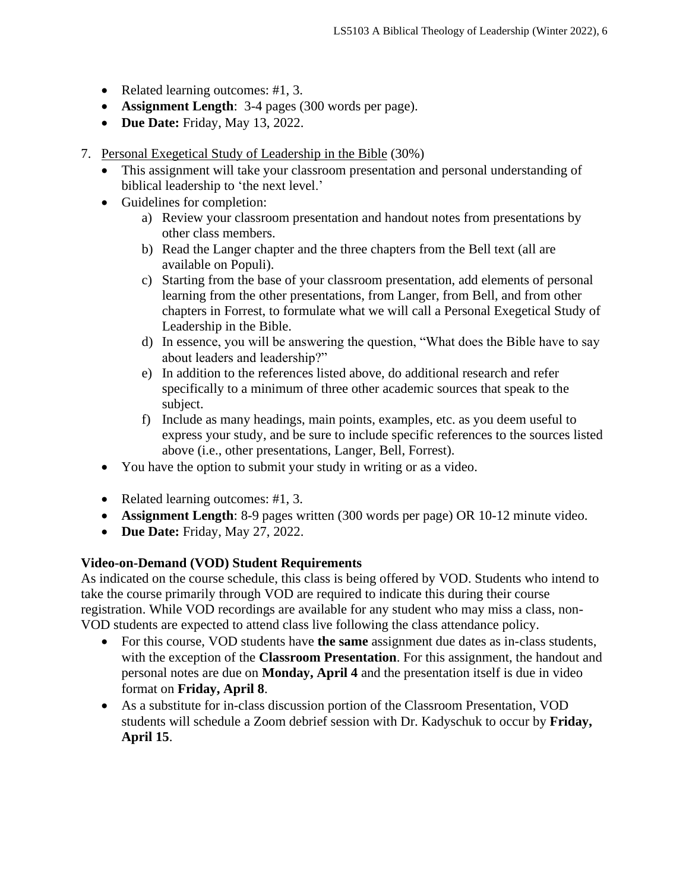- Related learning outcomes: #1, 3.
- **Assignment Length**: 3-4 pages (300 words per page).
- **Due Date:** Friday, May 13, 2022.
- 7. Personal Exegetical Study of Leadership in the Bible (30%)
	- This assignment will take your classroom presentation and personal understanding of biblical leadership to 'the next level.'
	- Guidelines for completion:
		- a) Review your classroom presentation and handout notes from presentations by other class members.
		- b) Read the Langer chapter and the three chapters from the Bell text (all are available on Populi).
		- c) Starting from the base of your classroom presentation, add elements of personal learning from the other presentations, from Langer, from Bell, and from other chapters in Forrest, to formulate what we will call a Personal Exegetical Study of Leadership in the Bible.
		- d) In essence, you will be answering the question, "What does the Bible have to say about leaders and leadership?"
		- e) In addition to the references listed above, do additional research and refer specifically to a minimum of three other academic sources that speak to the subject.
		- f) Include as many headings, main points, examples, etc. as you deem useful to express your study, and be sure to include specific references to the sources listed above (i.e., other presentations, Langer, Bell, Forrest).
	- You have the option to submit your study in writing or as a video.
	- Related learning outcomes: #1, 3.
	- **Assignment Length**: 8-9 pages written (300 words per page) OR 10-12 minute video.
	- **Due Date:** Friday, May 27, 2022.

### **Video-on-Demand (VOD) Student Requirements**

As indicated on the course schedule, this class is being offered by VOD. Students who intend to take the course primarily through VOD are required to indicate this during their course registration. While VOD recordings are available for any student who may miss a class, non-VOD students are expected to attend class live following the class attendance policy.

- For this course, VOD students have **the same** assignment due dates as in-class students, with the exception of the **Classroom Presentation**. For this assignment, the handout and personal notes are due on **Monday, April 4** and the presentation itself is due in video format on **Friday, April 8**.
- As a substitute for in-class discussion portion of the Classroom Presentation, VOD students will schedule a Zoom debrief session with Dr. Kadyschuk to occur by **Friday, April 15**.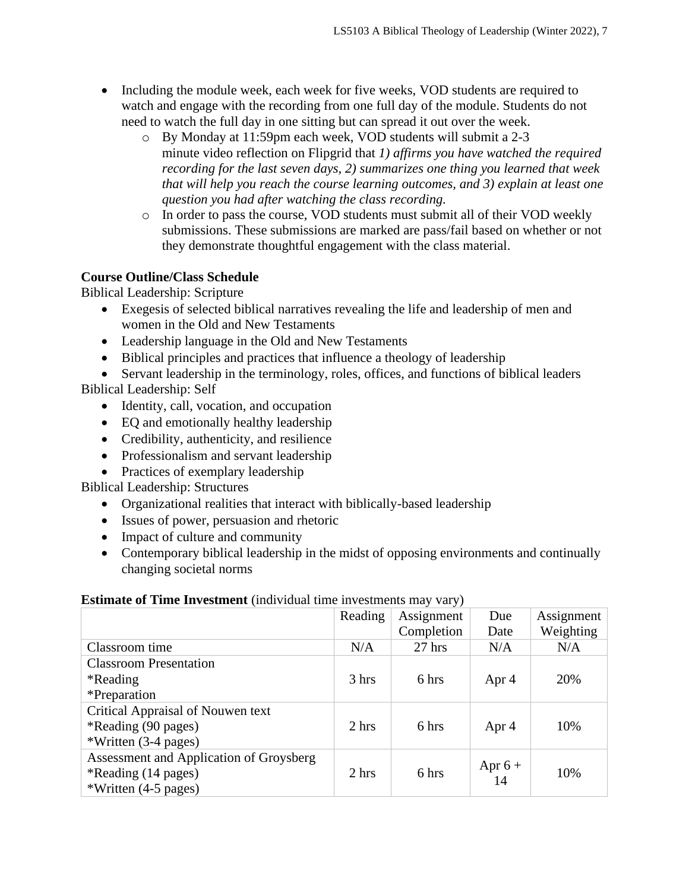- Including the module week, each week for five weeks, VOD students are required to watch and engage with the recording from one full day of the module. Students do not need to watch the full day in one sitting but can spread it out over the week.
	- o By Monday at 11:59pm each week, VOD students will submit a 2-3 minute video reflection on Flipgrid that *1) affirms you have watched the required recording for the last seven days, 2) summarizes one thing you learned that week that will help you reach the course learning outcomes, and 3) explain at least one question you had after watching the class recording.*
	- o In order to pass the course, VOD students must submit all of their VOD weekly submissions. These submissions are marked are pass/fail based on whether or not they demonstrate thoughtful engagement with the class material.

### **Course Outline/Class Schedule**

Biblical Leadership: Scripture

- Exegesis of selected biblical narratives revealing the life and leadership of men and women in the Old and New Testaments
- Leadership language in the Old and New Testaments
- Biblical principles and practices that influence a theology of leadership
- Servant leadership in the terminology, roles, offices, and functions of biblical leaders Biblical Leadership: Self
	- Identity, call, vocation, and occupation
	- EQ and emotionally healthy leadership
	- Credibility, authenticity, and resilience
	- Professionalism and servant leadership
	- Practices of exemplary leadership

Biblical Leadership: Structures

- Organizational realities that interact with biblically-based leadership
- Issues of power, persuasion and rhetoric
- Impact of culture and community
- Contemporary biblical leadership in the midst of opposing environments and continually changing societal norms

|                                         | Reading | Assignment | Due             | Assignment |
|-----------------------------------------|---------|------------|-----------------|------------|
|                                         |         | Completion | Date            | Weighting  |
| Classroom time                          | N/A     | $27$ hrs   | N/A             | N/A        |
| <b>Classroom Presentation</b>           |         |            |                 |            |
| *Reading                                | 3 hrs   | 6 hrs      | Apr 4           | 20%        |
| <i>*Preparation</i>                     |         |            |                 |            |
| Critical Appraisal of Nouwen text       |         |            |                 |            |
| *Reading (90 pages)                     | 2 hrs   | 6 hrs      | Apr 4           | 10%        |
| *Written (3-4 pages)                    |         |            |                 |            |
| Assessment and Application of Groysberg |         |            |                 |            |
| *Reading (14 pages)                     | 2 hrs   | 6 hrs      | Apr $6 +$<br>14 | 10%        |
| *Written (4-5 pages)                    |         |            |                 |            |

### **Estimate of Time Investment** (individual time investments may vary)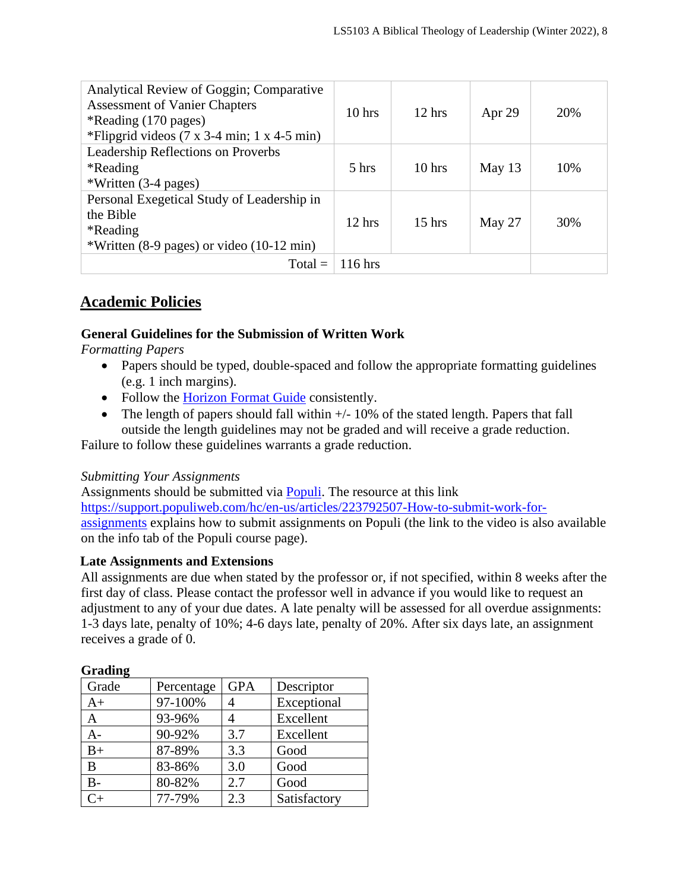| Analytical Review of Goggin; Comparative<br><b>Assessment of Vanier Chapters</b><br>*Reading (170 pages)<br>*Flipgrid videos $(7 \times 3-4 \text{ min}; 1 \times 4-5 \text{ min})$ | 10 <sub>hrs</sub> | $12 \text{ hrs}$  | Apr $29$ | 20% |
|-------------------------------------------------------------------------------------------------------------------------------------------------------------------------------------|-------------------|-------------------|----------|-----|
| Leadership Reflections on Proverbs<br>*Reading<br>*Written (3-4 pages)                                                                                                              | 5 <sub>hrs</sub>  | 10 <sub>hrs</sub> | May $13$ | 10% |
| Personal Exegetical Study of Leadership in<br>the Bible<br>*Reading<br>*Written (8-9 pages) or video (10-12 min)                                                                    | $12 \text{ hrs}$  | $15$ hrs          | May $27$ | 30% |
| $Total =$                                                                                                                                                                           | $116$ hrs         |                   |          |     |

## **Academic Policies**

### **General Guidelines for the Submission of Written Work**

*Formatting Papers* 

- Papers should be typed, double-spaced and follow the appropriate formatting guidelines (e.g. 1 inch margins).
- Follow the [Horizon Format Guide](https://www.horizon.edu/students/resources/) consistently.
- The length of papers should fall within  $+/-10\%$  of the stated length. Papers that fall outside the length guidelines may not be graded and will receive a grade reduction.

Failure to follow these guidelines warrants a grade reduction.

#### *Submitting Your Assignments*

Assignments should be submitted via [Populi.](https://horizon.populiweb.com/) The resource at this link [https://support.populiweb.com/hc/en-us/articles/223792507-How-to-submit-work-for](https://support.populiweb.com/hc/en-us/articles/223792507-How-to-submit-work-for-assignments)[assignments](https://support.populiweb.com/hc/en-us/articles/223792507-How-to-submit-work-for-assignments) explains how to submit assignments on Populi (the link to the video is also available on the info tab of the Populi course page).

### **Late Assignments and Extensions**

All assignments are due when stated by the professor or, if not specified, within 8 weeks after the first day of class. Please contact the professor well in advance if you would like to request an adjustment to any of your due dates. A late penalty will be assessed for all overdue assignments: 1-3 days late, penalty of 10%; 4-6 days late, penalty of 20%. After six days late, an assignment receives a grade of 0.

### **Grading**

| ີ<br>Grade | Percentage | <b>GPA</b> | Descriptor   |
|------------|------------|------------|--------------|
| $A+$       | 97-100%    |            | Exceptional  |
| A          | 93-96%     |            | Excellent    |
|            | 90-92%     | 3.7        | Excellent    |
| $B+$       | 87-89%     | 3.3        | Good         |
| B          | 83-86%     | 3.0        | Good         |
| $B -$      | 80-82%     | 2.7        | Good         |
| ີ⊥         | 77-79%     | 2.3        | Satisfactory |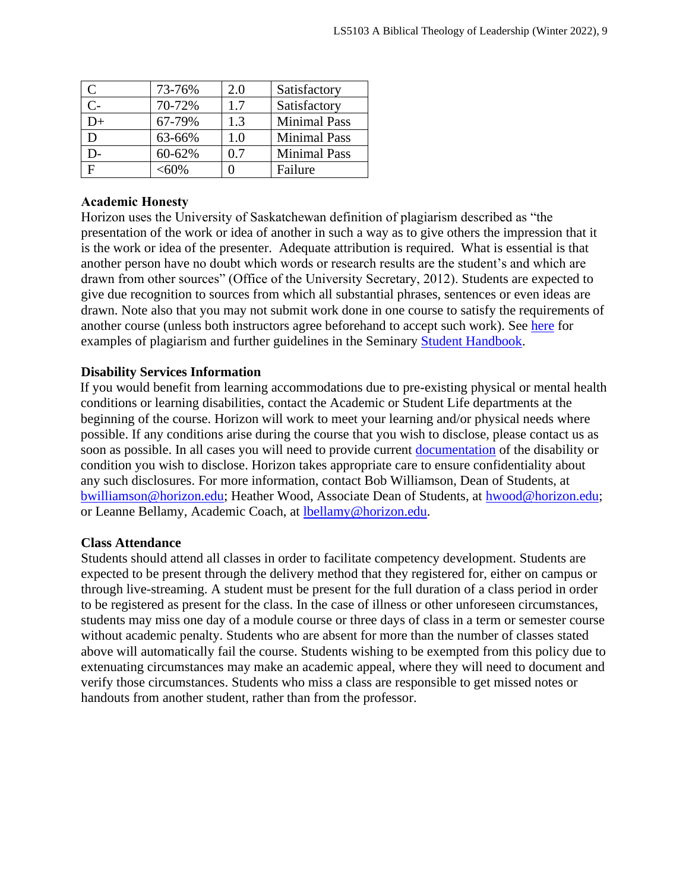|     | 73-76%   | 2.0 | Satisfactory        |
|-----|----------|-----|---------------------|
| C-  | 70-72%   | 1.7 | Satisfactory        |
| $+$ | 67-79%   | 1.3 | <b>Minimal Pass</b> |
|     | 63-66%   | 1.0 | <b>Minimal Pass</b> |
|     | 60-62%   | 07  | <b>Minimal Pass</b> |
|     | $< 60\%$ |     | Failure             |

#### **Academic Honesty**

Horizon uses the University of Saskatchewan definition of plagiarism described as "the presentation of the work or idea of another in such a way as to give others the impression that it is the work or idea of the presenter. Adequate attribution is required. What is essential is that another person have no doubt which words or research results are the student's and which are drawn from other sources" (Office of the University Secretary, 2012). Students are expected to give due recognition to sources from which all substantial phrases, sentences or even ideas are drawn. Note also that you may not submit work done in one course to satisfy the requirements of another course (unless both instructors agree beforehand to accept such work). See [here](http://www.turnitin.com/assets/en_us/media/plagiarism_spectrum.php) for examples of plagiarism and further guidelines in the Seminary [Student Handbook.](https://www.horizon.edu/students/resources/)

#### **Disability Services Information**

If you would benefit from learning accommodations due to pre-existing physical or mental health conditions or learning disabilities, contact the Academic or Student Life departments at the beginning of the course. Horizon will work to meet your learning and/or physical needs where possible. If any conditions arise during the course that you wish to disclose, please contact us as soon as possible. In all cases you will need to provide current [documentation](https://www.horizon.edu/students/support/) of the disability or condition you wish to disclose. Horizon takes appropriate care to ensure confidentiality about any such disclosures. For more information, contact Bob Williamson, Dean of Students, at [bwilliamson@horizon.edu;](mailto:bwilliamson@horizon.edu) Heather Wood, Associate Dean of Students, at [hwood@horizon.edu;](mailto:hwood@horizon.edu) or Leanne Bellamy, Academic Coach, at [lbellamy@horizon.edu.](mailto:lbellamy@horizon.edu)

#### **Class Attendance**

Students should attend all classes in order to facilitate competency development. Students are expected to be present through the delivery method that they registered for, either on campus or through live-streaming. A student must be present for the full duration of a class period in order to be registered as present for the class. In the case of illness or other unforeseen circumstances, students may miss one day of a module course or three days of class in a term or semester course without academic penalty. Students who are absent for more than the number of classes stated above will automatically fail the course. Students wishing to be exempted from this policy due to extenuating circumstances may make an academic appeal, where they will need to document and verify those circumstances. Students who miss a class are responsible to get missed notes or handouts from another student, rather than from the professor.